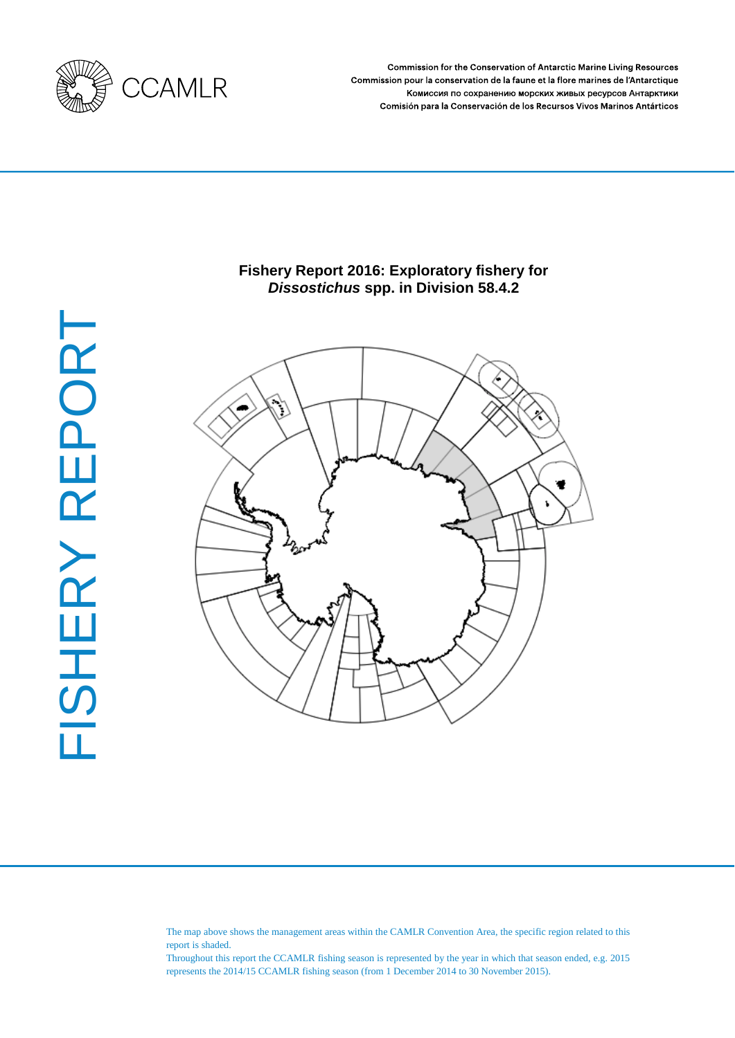

**Commission for the Conservation of Antarctic Marine Living Resources** Commission pour la conservation de la faune et la flore marines de l'Antarctique Комиссия по сохранению морских живых ресурсов Антарктики Comisión para la Conservación de los Recursos Vivos Marinos Antárticos

# **Fishery Report 2016: Exploratory fishery for**  *Dissostichus* **spp. in Division 58.4.2**



The map above shows the management areas within the CAMLR Convention Area, the specific region related to this report is shaded.

Throughout this report the CCAMLR fishing season is represented by the year in which that season ended, e.g. 2015 represents the 2014/15 CCAMLR fishing season (from 1 December 2014 to 30 November 2015).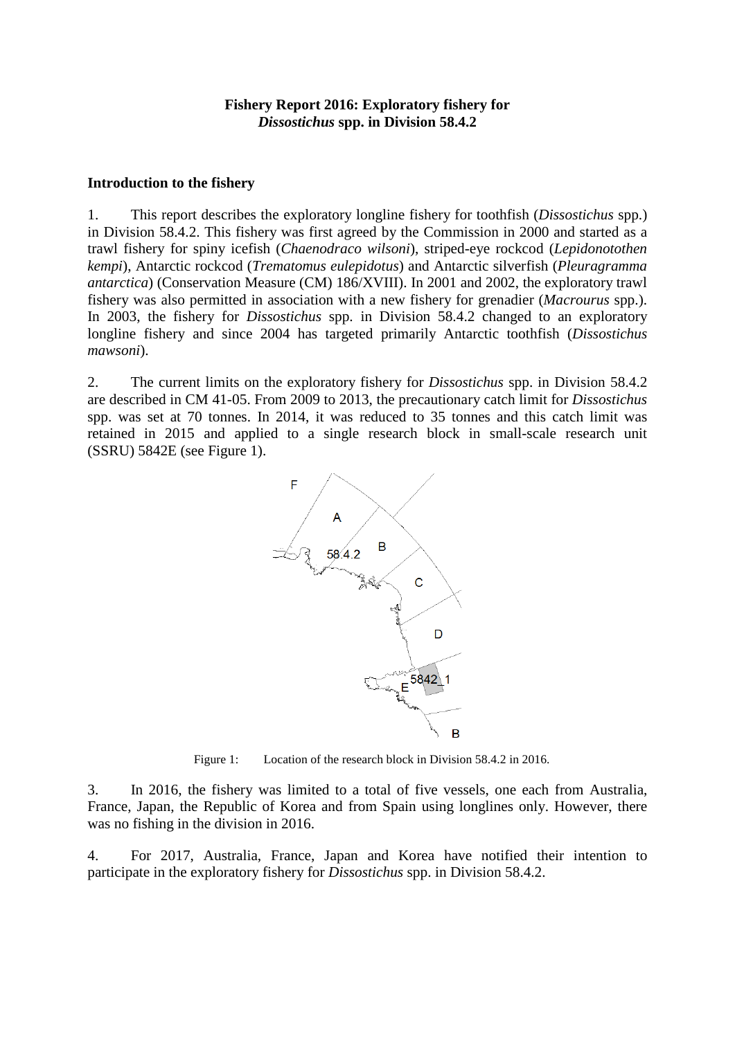## **Fishery Report 2016: Exploratory fishery for**  *Dissostichus* **spp. in Division 58.4.2**

#### **Introduction to the fishery**

1. This report describes the exploratory longline fishery for toothfish (*Dissostichus* spp.) in Division 58.4.2. This fishery was first agreed by the Commission in 2000 and started as a trawl fishery for spiny icefish (*Chaenodraco wilsoni*), striped-eye rockcod (*Lepidonotothen kempi*), Antarctic rockcod (*Trematomus eulepidotus*) and Antarctic silverfish (*Pleuragramma antarctica*) (Conservation Measure (CM) 186/XVIII). In 2001 and 2002, the exploratory trawl fishery was also permitted in association with a new fishery for grenadier (*Macrourus* spp.). In 2003, the fishery for *Dissostichus* spp. in Division 58.4.2 changed to an exploratory longline fishery and since 2004 has targeted primarily Antarctic toothfish (*Dissostichus mawsoni*).

2. The current limits on the exploratory fishery for *Dissostichus* spp. in Division 58.4.2 are described in CM 41-05. From 2009 to 2013, the precautionary catch limit for *Dissostichus* spp. was set at 70 tonnes. In 2014, it was reduced to 35 tonnes and this catch limit was retained in 2015 and applied to a single research block in small-scale research unit (SSRU) 5842E (see Figure 1).



Figure 1: Location of the research block in Division 58.4.2 in 2016.

3. In 2016, the fishery was limited to a total of five vessels, one each from Australia, France, Japan, the Republic of Korea and from Spain using longlines only. However, there was no fishing in the division in 2016.

4. For 2017, Australia, France, Japan and Korea have notified their intention to participate in the exploratory fishery for *Dissostichus* spp. in Division 58.4.2.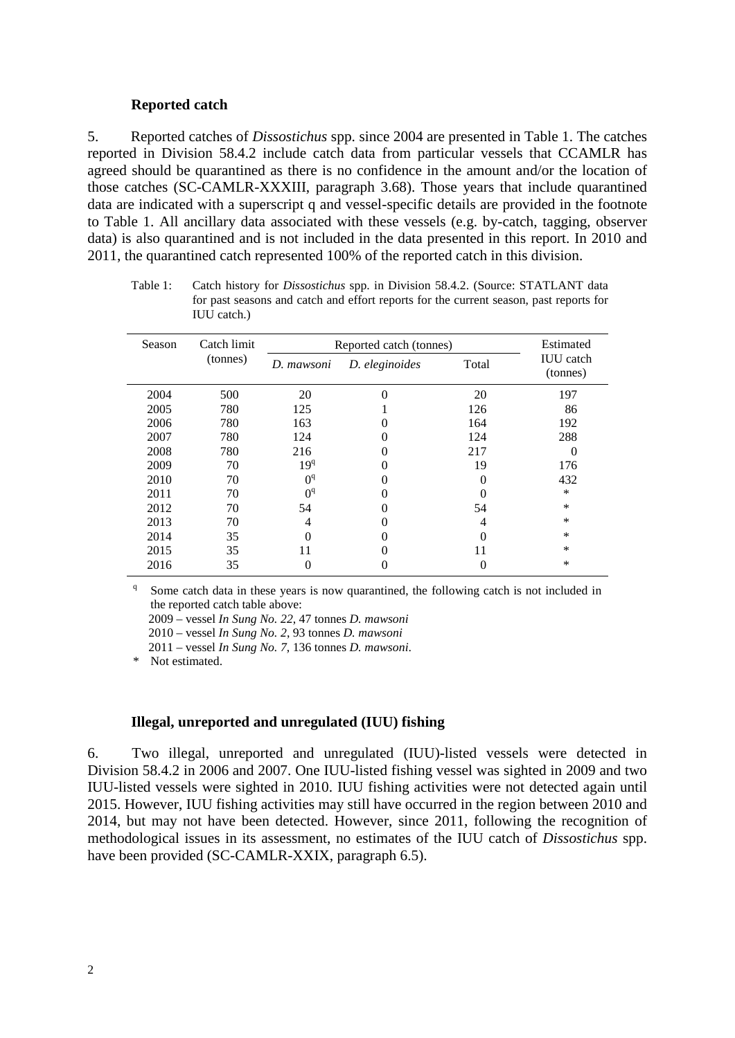#### **Reported catch**

5. Reported catches of *Dissostichus* spp. since 2004 are presented in Table 1. The catches reported in Division 58.4.2 include catch data from particular vessels that CCAMLR has agreed should be quarantined as there is no confidence in the amount and/or the location of those catches (SC-CAMLR-XXXIII, paragraph 3.68). Those years that include quarantined data are indicated with a superscript q and vessel-specific details are provided in the footnote to Table 1. All ancillary data associated with these vessels (e.g. by-catch, tagging, observer data) is also quarantined and is not included in the data presented in this report. In 2010 and 2011, the quarantined catch represented 100% of the reported catch in this division.

Table 1: Catch history for *Dissostichus* spp. in Division 58.4.2. (Source: STATLANT data for past seasons and catch and effort reports for the current season, past reports for IUU catch.)

| Season | Catch limit | Reported catch (tonnes) | Estimated      |       |                              |
|--------|-------------|-------------------------|----------------|-------|------------------------------|
|        | (tonnes)    | D. mawsoni              | D. eleginoides | Total | <b>IUU</b> catch<br>(tonnes) |
| 2004   | 500         | 20                      |                | 20    | 197                          |
| 2005   | 780         | 125                     |                | 126   | 86                           |
| 2006   | 780         | 163                     | 0              | 164   | 192                          |
| 2007   | 780         | 124                     |                | 124   | 288                          |
| 2008   | 780         | 216                     |                | 217   | $\theta$                     |
| 2009   | 70          | 19 <sup>q</sup>         |                | 19    | 176                          |
| 2010   | 70          | $\Omega$ <sup>q</sup>   |                |       | 432                          |
| 2011   | 70          | $\Omega$ <sup>q</sup>   |                |       | $\ast$                       |
| 2012   | 70          | 54                      |                | 54    | *                            |
| 2013   | 70          | 4                       |                | 4     | *                            |
| 2014   | 35          |                         |                |       | $\ast$                       |
| 2015   | 35          | 11                      |                | 11    | *                            |
| 2016   | 35          | 0                       |                | 0     | *                            |

Some catch data in these years is now quarantined, the following catch is not included in the reported catch table above:

2009 – vessel *In Sung No. 22*, 47 tonnes *D. mawsoni*

2010 – vessel *In Sung No. 2*, 93 tonnes *D. mawsoni*

2011 – vessel *In Sung No. 7*, 136 tonnes *D. mawsoni*.

\* Not estimated.

#### **Illegal, unreported and unregulated (IUU) fishing**

6. Two illegal, unreported and unregulated (IUU)-listed vessels were detected in Division 58.4.2 in 2006 and 2007. One IUU-listed fishing vessel was sighted in 2009 and two IUU-listed vessels were sighted in 2010. IUU fishing activities were not detected again until 2015. However, IUU fishing activities may still have occurred in the region between 2010 and 2014, but may not have been detected. However, since 2011, following the recognition of methodological issues in its assessment, no estimates of the IUU catch of *Dissostichus* spp. have been provided (SC-CAMLR-XXIX, paragraph 6.5).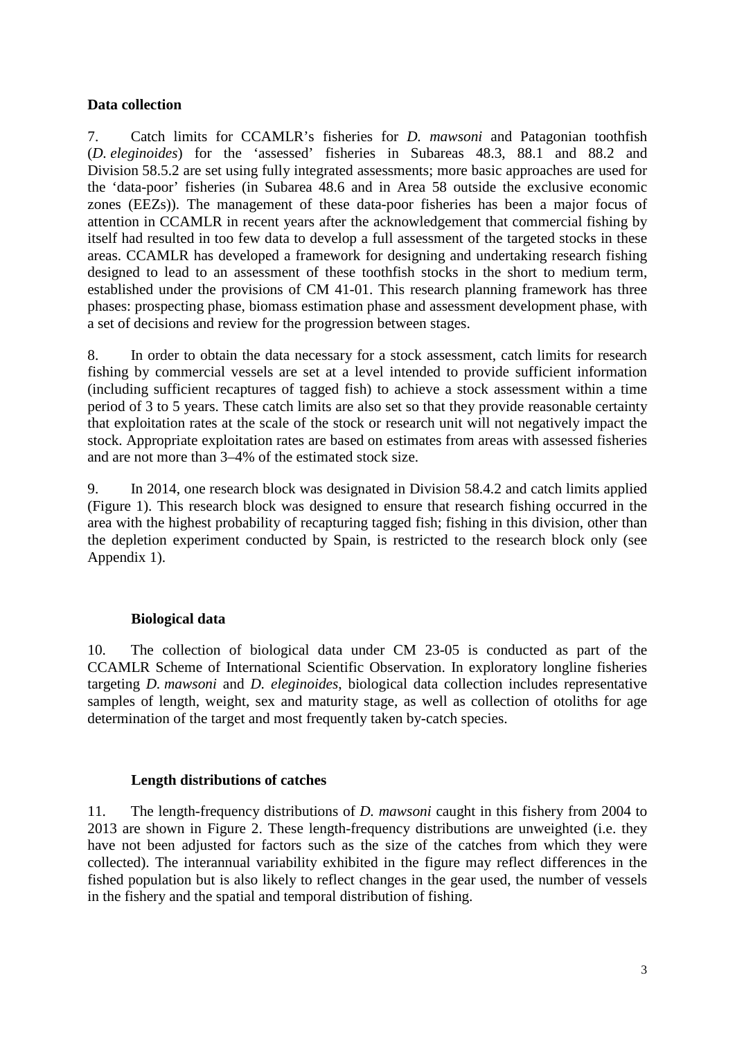## **Data collection**

7. Catch limits for CCAMLR's fisheries for *D. mawsoni* and Patagonian toothfish (*D. eleginoides*) for the 'assessed' fisheries in Subareas 48.3, 88.1 and 88.2 and Division 58.5.2 are set using fully integrated assessments; more basic approaches are used for the 'data-poor' fisheries (in Subarea 48.6 and in Area 58 outside the exclusive economic zones (EEZs)). The management of these data-poor fisheries has been a major focus of attention in CCAMLR in recent years after the acknowledgement that commercial fishing by itself had resulted in too few data to develop a full assessment of the targeted stocks in these areas. CCAMLR has developed a framework for designing and undertaking research fishing designed to lead to an assessment of these toothfish stocks in the short to medium term, established under the provisions of CM 41-01. This research planning framework has three phases: prospecting phase, biomass estimation phase and assessment development phase, with a set of decisions and review for the progression between stages.

8. In order to obtain the data necessary for a stock assessment, catch limits for research fishing by commercial vessels are set at a level intended to provide sufficient information (including sufficient recaptures of tagged fish) to achieve a stock assessment within a time period of 3 to 5 years. These catch limits are also set so that they provide reasonable certainty that exploitation rates at the scale of the stock or research unit will not negatively impact the stock. Appropriate exploitation rates are based on estimates from areas with assessed fisheries and are not more than 3–4% of the estimated stock size.

9. In 2014, one research block was designated in Division 58.4.2 and catch limits applied (Figure 1). This research block was designed to ensure that research fishing occurred in the area with the highest probability of recapturing tagged fish; fishing in this division, other than the depletion experiment conducted by Spain, is restricted to the research block only (see Appendix 1).

# **Biological data**

10. The collection of biological data under CM 23-05 is conducted as part of the CCAMLR Scheme of International Scientific Observation. In exploratory longline fisheries targeting *D. mawsoni* and *D. eleginoides*, biological data collection includes representative samples of length, weight, sex and maturity stage, as well as collection of otoliths for age determination of the target and most frequently taken by-catch species.

# **Length distributions of catches**

11. The length-frequency distributions of *D. mawsoni* caught in this fishery from 2004 to 2013 are shown in Figure 2. These length-frequency distributions are unweighted (i.e. they have not been adjusted for factors such as the size of the catches from which they were collected). The interannual variability exhibited in the figure may reflect differences in the fished population but is also likely to reflect changes in the gear used, the number of vessels in the fishery and the spatial and temporal distribution of fishing.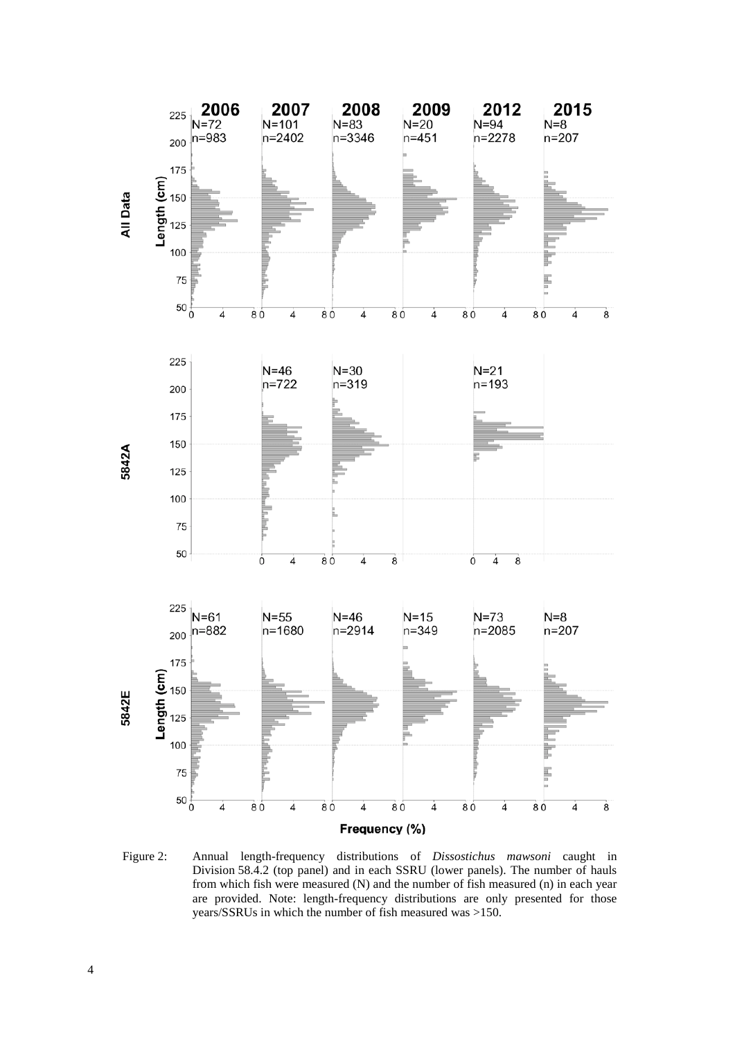

Figure 2: Annual length-frequency distributions of *Dissostichus mawsoni* caught in Division 58.4.2 (top panel) and in each SSRU (lower panels). The number of hauls from which fish were measured (N) and the number of fish measured (n) in each year are provided. Note: length-frequency distributions are only presented for those years/SSRUs in which the number of fish measured was >150.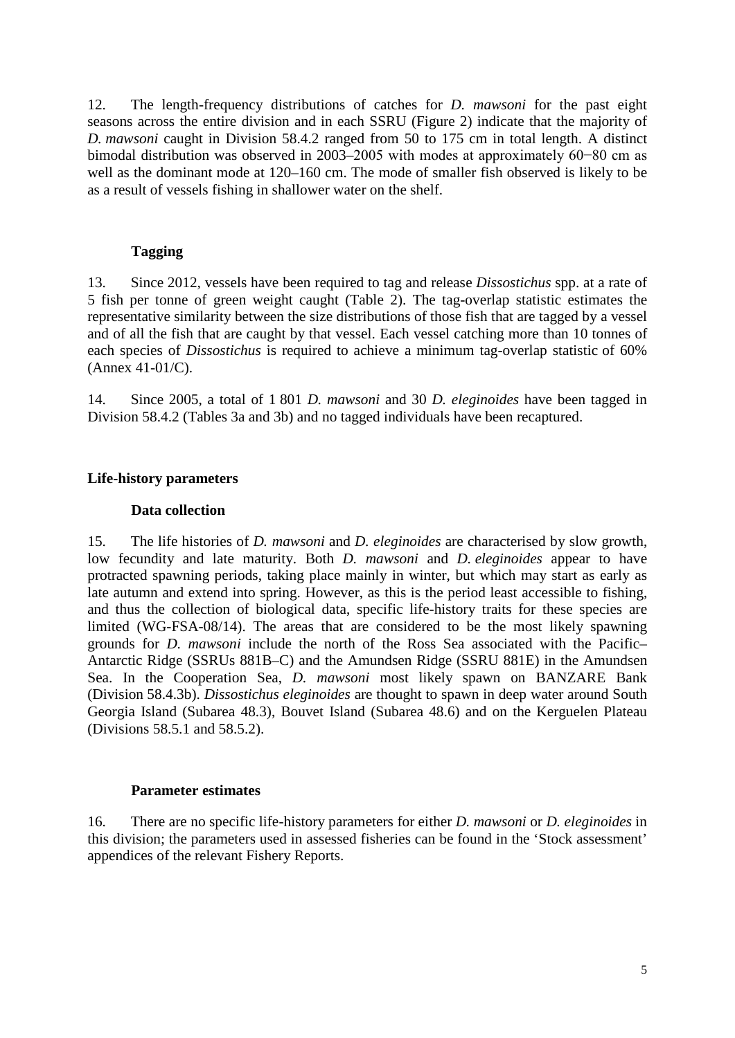12. The length-frequency distributions of catches for *D. mawsoni* for the past eight seasons across the entire division and in each SSRU (Figure 2) indicate that the majority of *D. mawsoni* caught in Division 58.4.2 ranged from 50 to 175 cm in total length. A distinct bimodal distribution was observed in 2003–2005 with modes at approximately 60−80 cm as well as the dominant mode at 120–160 cm. The mode of smaller fish observed is likely to be as a result of vessels fishing in shallower water on the shelf.

## **Tagging**

13. Since 2012, vessels have been required to tag and release *Dissostichus* spp. at a rate of 5 fish per tonne of green weight caught (Table 2). The tag-overlap statistic estimates the representative similarity between the size distributions of those fish that are tagged by a vessel and of all the fish that are caught by that vessel. Each vessel catching more than 10 tonnes of each species of *Dissostichus* is required to achieve a minimum tag-overlap statistic of 60% (Annex 41-01/C).

14. Since 2005, a total of 1 801 *D. mawsoni* and 30 *D. eleginoides* have been tagged in Division 58.4.2 (Tables 3a and 3b) and no tagged individuals have been recaptured.

## **Life-history parameters**

## **Data collection**

15. The life histories of *D. mawsoni* and *D. eleginoides* are characterised by slow growth, low fecundity and late maturity. Both *D. mawsoni* and *D. eleginoides* appear to have protracted spawning periods, taking place mainly in winter, but which may start as early as late autumn and extend into spring. However, as this is the period least accessible to fishing, and thus the collection of biological data, specific life-history traits for these species are limited (WG-FSA-08/14). The areas that are considered to be the most likely spawning grounds for *D. mawsoni* include the north of the Ross Sea associated with the Pacific– Antarctic Ridge (SSRUs 881B–C) and the Amundsen Ridge (SSRU 881E) in the Amundsen Sea. In the Cooperation Sea, *D. mawsoni* most likely spawn on BANZARE Bank (Division 58.4.3b). *Dissostichus eleginoides* are thought to spawn in deep water around South Georgia Island (Subarea 48.3), Bouvet Island (Subarea 48.6) and on the Kerguelen Plateau (Divisions 58.5.1 and 58.5.2).

## **Parameter estimates**

16. There are no specific life-history parameters for either *D. mawsoni* or *D. eleginoides* in this division; the parameters used in assessed fisheries can be found in the 'Stock assessment' appendices of the relevant Fishery Reports.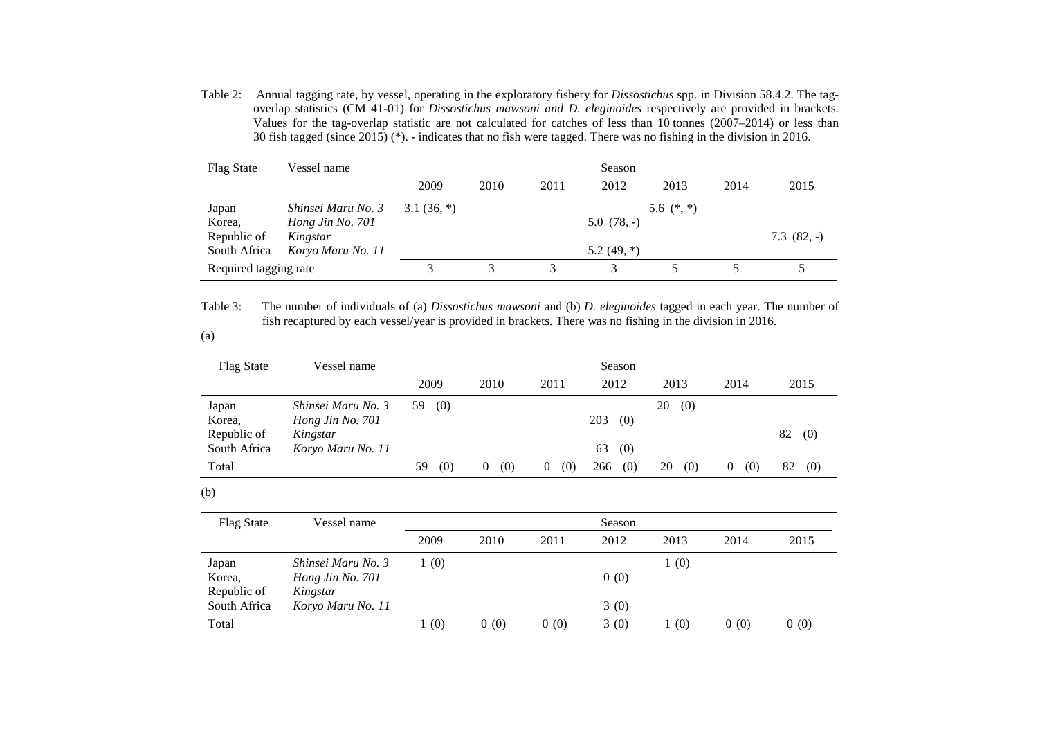Table 2: Annual tagging rate, by vessel, operating in the exploratory fishery for *Dissostichus* spp. in Division 58.4.2. The tagoverlap statistics (CM 41-01) for *Dissostichus mawsoni and D. eleginoides* respectively are provided in brackets. Values for the tag-overlap statistic are not calculated for catches of less than 10 tonnes (2007–2014) or less than 30 fish tagged (since 2015) (\*). - indicates that no fish were tagged. There was no fishing in the division in 2016.

| Flag State            | Vessel name        | Season        |      |      |               |              |      |             |
|-----------------------|--------------------|---------------|------|------|---------------|--------------|------|-------------|
|                       |                    | 2009          | 2010 | 2011 | 2012          | 2013         | 2014 | 2015        |
| Japan                 | Shinsei Maru No. 3 | 3.1 $(36, *)$ |      |      |               | 5.6 $(*, *)$ |      |             |
| Korea,                | Hong Jin No. 701   |               |      |      | $5.0(78,-)$   |              |      |             |
| Republic of           | Kingstar           |               |      |      |               |              |      | $7.3(82,-)$ |
| South Africa          | Koryo Maru No. 11  |               |      |      | 5.2 $(49, *)$ |              |      |             |
| Required tagging rate |                    |               |      |      |               |              |      |             |

Table 3: The number of individuals of (a) *Dissostichus mawsoni* and (b) *D. eleginoides* tagged in each year. The number of fish recaptured by each vessel/year is provided in brackets. There was no fishing in the division in 2016.

#### (a)

| <b>Flag State</b>     | Vessel name                  | Season    |          |                 |            |           |          |           |
|-----------------------|------------------------------|-----------|----------|-----------------|------------|-----------|----------|-----------|
|                       |                              | 2009      | 2010     | 2011            | 2012       | 2013      | 2014     | 2015      |
| Japan                 | Shinsei Maru No. 3           | (0)<br>59 |          |                 |            | 20<br>(0) |          |           |
| Korea,<br>Republic of | Hong Jin No. 701<br>Kingstar |           |          |                 | 203<br>(0) |           |          | 82<br>(0) |
| South Africa          | Koryo Maru No. 11            |           |          |                 | (0)<br>63  |           |          |           |
| Total                 |                              | 59<br>(0) | (0)<br>0 | (0)<br>$\theta$ | (0)<br>266 | 20<br>(0) | 0<br>(0) | (0)<br>82 |

#### (b)

| <b>Flag State</b>           | Vessel name                   |      |      |      | Season |       |      |      |
|-----------------------------|-------------------------------|------|------|------|--------|-------|------|------|
|                             |                               | 2009 | 2010 | 2011 | 2012   | 2013  | 2014 | 2015 |
| Japan                       | Shinsei Maru No. 3            | (0)  |      |      |        | (0)   |      |      |
| Korea,                      | Hong Jin No. 701              |      |      |      | 0(0)   |       |      |      |
| Republic of<br>South Africa | Kingstar<br>Koryo Maru No. 11 |      |      |      | 3(0)   |       |      |      |
| Total                       |                               | 1(0) | 0(0) | 0(0) | 3(0)   | l (0) | 0(0) | 0(0) |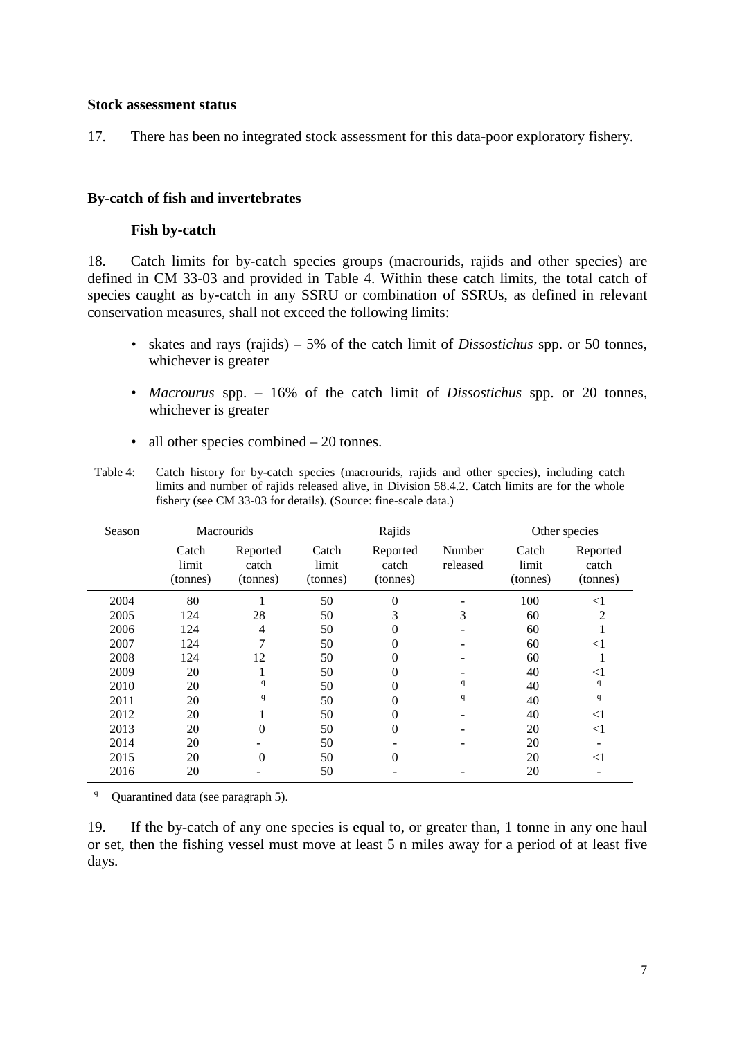#### **Stock assessment status**

17. There has been no integrated stock assessment for this data-poor exploratory fishery.

## **By-catch of fish and invertebrates**

## **Fish by-catch**

18. Catch limits for by-catch species groups (macrourids, rajids and other species) are defined in CM 33-03 and provided in Table 4. Within these catch limits, the total catch of species caught as by-catch in any SSRU or combination of SSRUs, as defined in relevant conservation measures, shall not exceed the following limits:

- skates and rays (rajids) 5% of the catch limit of *Dissostichus* spp. or 50 tonnes, whichever is greater
- *Macrourus* spp. 16% of the catch limit of *Dissostichus* spp. or 20 tonnes, whichever is greater
- all other species combined 20 tonnes.

| Table 4: | Catch history for by-catch species (macrourids, rajids and other species), including catch     |
|----------|------------------------------------------------------------------------------------------------|
|          | limits and number of rajids released alive, in Division 58.4.2. Catch limits are for the whole |
|          | fishery (see CM 33-03 for details). (Source: fine-scale data.)                                 |

| Season | Macrourids                 |                               |                            | Rajids                        | Other species      |                            |                               |
|--------|----------------------------|-------------------------------|----------------------------|-------------------------------|--------------------|----------------------------|-------------------------------|
|        | Catch<br>limit<br>(tonnes) | Reported<br>catch<br>(tonnes) | Catch<br>limit<br>(tonnes) | Reported<br>catch<br>(tonnes) | Number<br>released | Catch<br>limit<br>(tonnes) | Reported<br>catch<br>(tonnes) |
| 2004   | 80                         |                               | 50                         | 0                             |                    | 100                        | $<$ 1                         |
| 2005   | 124                        | 28                            | 50                         | 3                             | 3                  | 60                         | $\overline{c}$                |
| 2006   | 124                        | 4                             | 50                         | 0                             |                    | 60                         |                               |
| 2007   | 124                        |                               | 50                         | 0                             |                    | 60                         | $<$ 1                         |
| 2008   | 124                        | 12                            | 50                         | 0                             |                    | 60                         |                               |
| 2009   | 20                         |                               | 50                         | 0                             |                    | 40                         | $<$ l                         |
| 2010   | 20                         | q                             | 50                         | 0                             | q                  | 40                         | q                             |
| 2011   | 20                         | q                             | 50                         | 0                             | q                  | 40                         | q                             |
| 2012   | 20                         |                               | 50                         | 0                             |                    | 40                         | $<$ 1                         |
| 2013   | 20                         | $\Omega$                      | 50                         | 0                             |                    | 20                         | $<$ 1                         |
| 2014   | 20                         |                               | 50                         |                               |                    | 20                         |                               |
| 2015   | 20                         | $\Omega$                      | 50                         | 0                             |                    | 20                         | $<$ 1                         |
| 2016   | 20                         |                               | 50                         |                               |                    | 20                         |                               |

<sup>q</sup> Quarantined data (see paragraph 5).

19. If the by-catch of any one species is equal to, or greater than, 1 tonne in any one haul or set, then the fishing vessel must move at least 5 n miles away for a period of at least five days.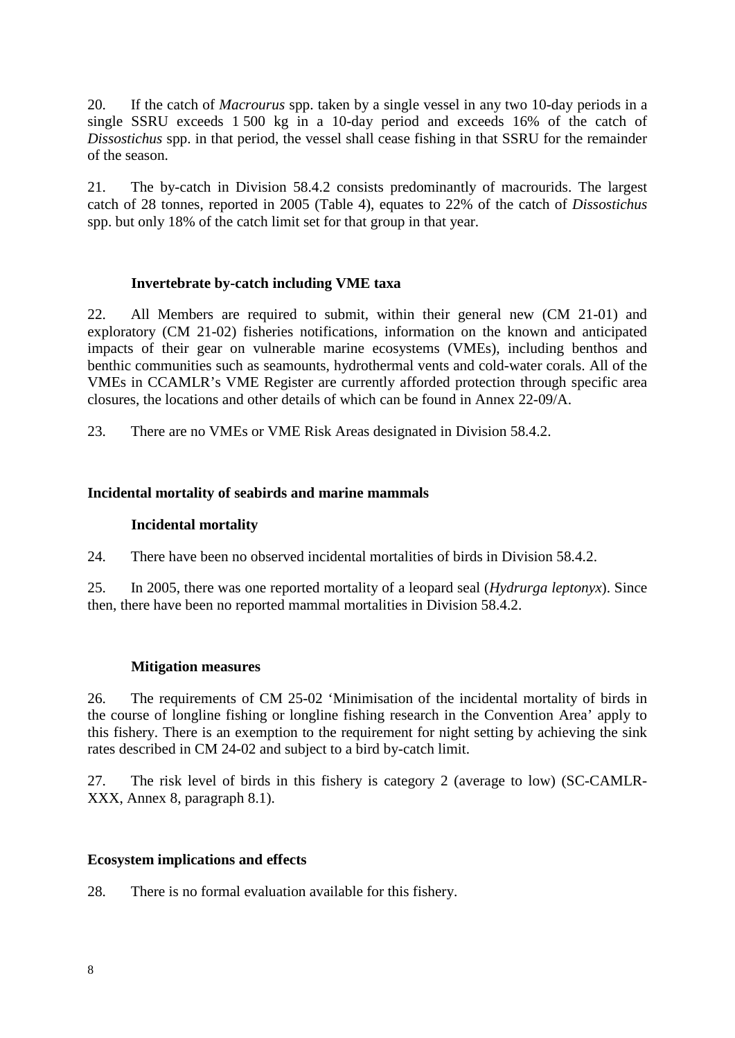20. If the catch of *Macrourus* spp. taken by a single vessel in any two 10-day periods in a single SSRU exceeds 1 500 kg in a 10-day period and exceeds 16% of the catch of *Dissostichus* spp. in that period, the vessel shall cease fishing in that SSRU for the remainder of the season.

21. The by-catch in Division 58.4.2 consists predominantly of macrourids. The largest catch of 28 tonnes, reported in 2005 (Table 4), equates to 22% of the catch of *Dissostichus* spp. but only 18% of the catch limit set for that group in that year.

# **Invertebrate by-catch including VME taxa**

22. All Members are required to submit, within their general new (CM 21-01) and exploratory (CM 21-02) fisheries notifications, information on the known and anticipated impacts of their gear on vulnerable marine ecosystems (VMEs), including benthos and benthic communities such as seamounts, hydrothermal vents and cold-water corals. All of the VMEs in CCAMLR's VME Register are currently afforded protection through specific area closures, the locations and other details of which can be found in Annex 22-09/A.

23. There are no VMEs or VME Risk Areas designated in Division 58.4.2.

# **Incidental mortality of seabirds and marine mammals**

# **Incidental mortality**

24. There have been no observed incidental mortalities of birds in Division 58.4.2.

25. In 2005, there was one reported mortality of a leopard seal (*Hydrurga leptonyx*). Since then, there have been no reported mammal mortalities in Division 58.4.2.

## **Mitigation measures**

26. The requirements of CM 25-02 'Minimisation of the incidental mortality of birds in the course of longline fishing or longline fishing research in the Convention Area' apply to this fishery. There is an exemption to the requirement for night setting by achieving the sink rates described in CM 24-02 and subject to a bird by-catch limit.

27. The risk level of birds in this fishery is category 2 (average to low) (SC-CAMLR-XXX, Annex 8, paragraph 8.1).

## **Ecosystem implications and effects**

28. There is no formal evaluation available for this fishery.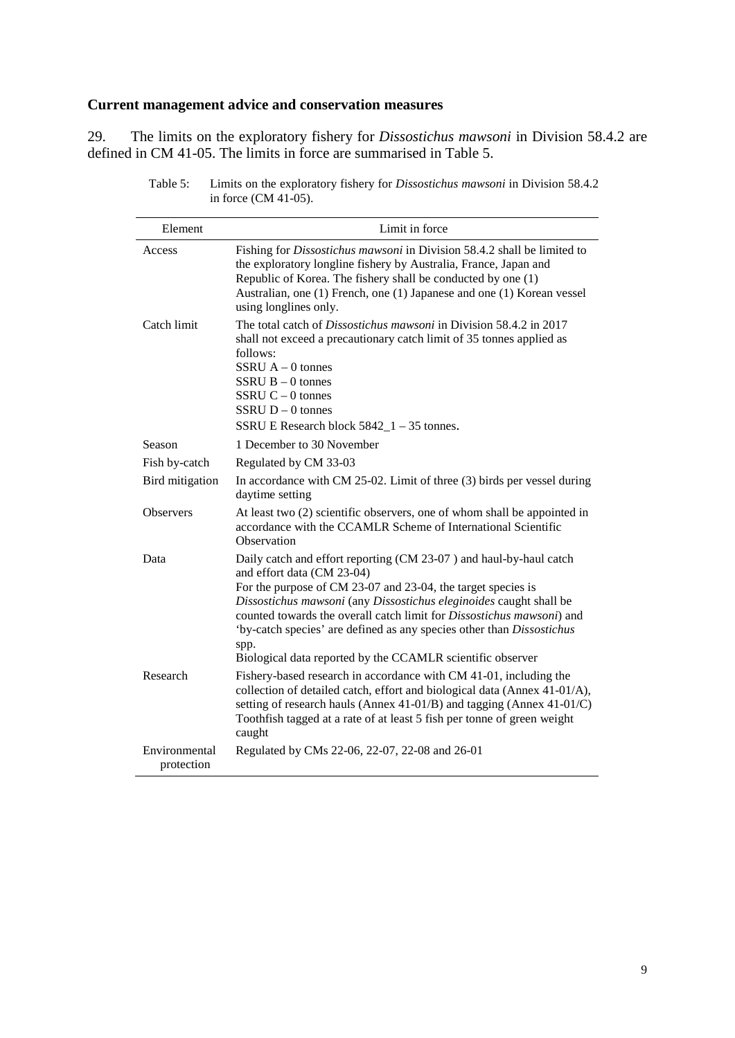# **Current management advice and conservation measures**

29. The limits on the exploratory fishery for *Dissostichus mawsoni* in Division 58.4.2 are defined in CM 41-05. The limits in force are summarised in Table 5.

| Element                     | Limit in force                                                                                                                                                                                                                                                                                                                                                                                                                                                         |
|-----------------------------|------------------------------------------------------------------------------------------------------------------------------------------------------------------------------------------------------------------------------------------------------------------------------------------------------------------------------------------------------------------------------------------------------------------------------------------------------------------------|
| Access                      | Fishing for <i>Dissostichus mawsoni</i> in Division 58.4.2 shall be limited to<br>the exploratory longline fishery by Australia, France, Japan and<br>Republic of Korea. The fishery shall be conducted by one (1)<br>Australian, one (1) French, one (1) Japanese and one (1) Korean vessel<br>using longlines only.                                                                                                                                                  |
| Catch limit                 | The total catch of <i>Dissostichus mawsoni</i> in Division 58.4.2 in 2017<br>shall not exceed a precautionary catch limit of 35 tonnes applied as<br>follows:<br>SSRU $A - 0$ tonnes<br>$SSRU B - 0$ tonnes<br>SSRU $C - 0$ tonnes<br>$SSRU D - 0$ tonnes<br>SSRU E Research block $5842_1 - 35$ tonnes.                                                                                                                                                               |
| Season                      | 1 December to 30 November                                                                                                                                                                                                                                                                                                                                                                                                                                              |
| Fish by-catch               | Regulated by CM 33-03                                                                                                                                                                                                                                                                                                                                                                                                                                                  |
| Bird mitigation             | In accordance with CM 25-02. Limit of three (3) birds per vessel during<br>daytime setting                                                                                                                                                                                                                                                                                                                                                                             |
| <b>Observers</b>            | At least two (2) scientific observers, one of whom shall be appointed in<br>accordance with the CCAMLR Scheme of International Scientific<br>Observation                                                                                                                                                                                                                                                                                                               |
| Data                        | Daily catch and effort reporting (CM 23-07) and haul-by-haul catch<br>and effort data (CM 23-04)<br>For the purpose of CM 23-07 and 23-04, the target species is<br>Dissostichus mawsoni (any Dissostichus eleginoides caught shall be<br>counted towards the overall catch limit for <i>Dissostichus mawsoni</i> ) and<br>'by-catch species' are defined as any species other than Dissostichus<br>spp.<br>Biological data reported by the CCAMLR scientific observer |
| Research                    | Fishery-based research in accordance with CM 41-01, including the<br>collection of detailed catch, effort and biological data (Annex 41-01/A),<br>setting of research hauls (Annex 41-01/B) and tagging (Annex 41-01/C)<br>Toothfish tagged at a rate of at least 5 fish per tonne of green weight<br>caught                                                                                                                                                           |
| Environmental<br>protection | Regulated by CMs 22-06, 22-07, 22-08 and 26-01                                                                                                                                                                                                                                                                                                                                                                                                                         |

Table 5: Limits on the exploratory fishery for *Dissostichus mawsoni* in Division 58.4.2 in force (CM 41-05).